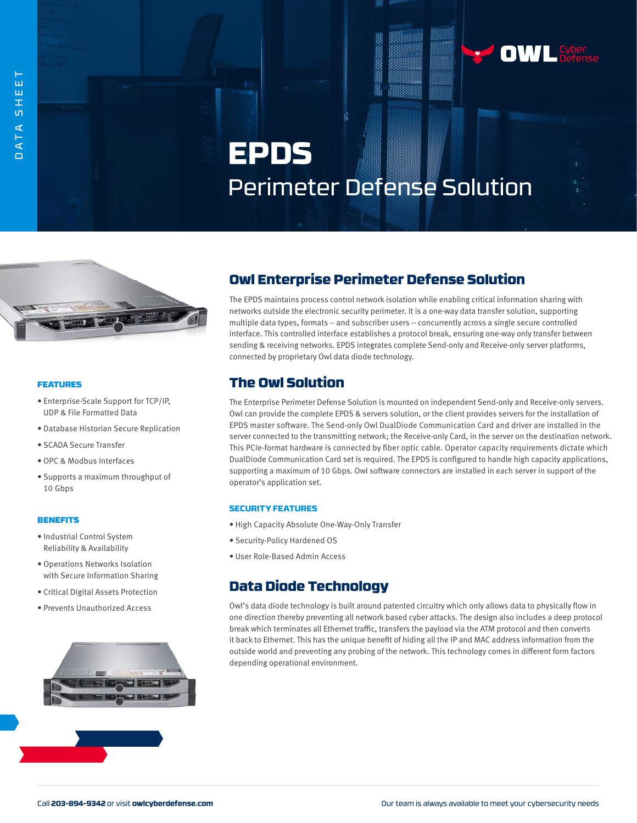# **EPDS** Perimeter Defense Solution



#### FEATURES

- Enterprise-Scale Support for TCP/IP, UDP & File Formatted Data
- Database Historian Secure Replication
- SCADA Secure Transfer
- OPC & Modbus Interfaces
- Supports a maximum throughput of 10 Gbps

#### **BENEFITS**

- Industrial Control System Reliability & Availability
- Operations Networks Isolation with Secure Information Sharing
- Critical Digital Assets Protection
- Prevents Unauthorized Access



## Owl Enterprise Perimeter Defense Solution

The EPDS maintains process control network isolation while enabling critical information sharing with networks outside the electronic security perimeter. It is a one-way data transfer solution, supporting multiple data types, formats -- and subscriber users -- concurrently across a single secure controlled interface. This controlled interface establishes a protocol break, ensuring one-way only transfer between sending & receiving networks. EPDS integrates complete Send-only and Receive-only server platforms, connected by proprietary Owl data diode technology.

### The Owl Solution

The Enterprise Perimeter Defense Solution is mounted on independent Send-only and Receive-only servers. Owl can provide the complete EPDS & servers solution, or the client provides servers for the installation of EPDS master software. The Send-only Owl DualDiode Communication Card and driver are installed in the server connected to the transmitting network; the Receive-only Card, in the server on the destination network. This PCIe-format hardware is connected by fiber optic cable. Operator capacity requirements dictate which DualDiode Communication Card set is required. The EPDS is configured to handle high capacity applications, supporting a maximum of 10 Gbps. Owl software connectors are installed in each server in support of the operator's application set.

#### **SECURITY FEATURES**

- High Capacity Absolute One-Way-Only Transfer
- Security-Policy Hardened OS
- User Role-Based Admin Access

## Data Diode Technology

Owl's data diode technology is built around patented circuitry which only allows data to physically flow in one direction thereby preventing all network based cyber attacks. The design also includes a deep protocol break which terminates all Ethernet traffic, transfers the payload via the ATM protocol and then converts it back to Ethernet. This has the unique benefit of hiding all the IP and MAC address information from the outside world and preventing any probing of the network. This technology comes in different form factors depending operational environment.